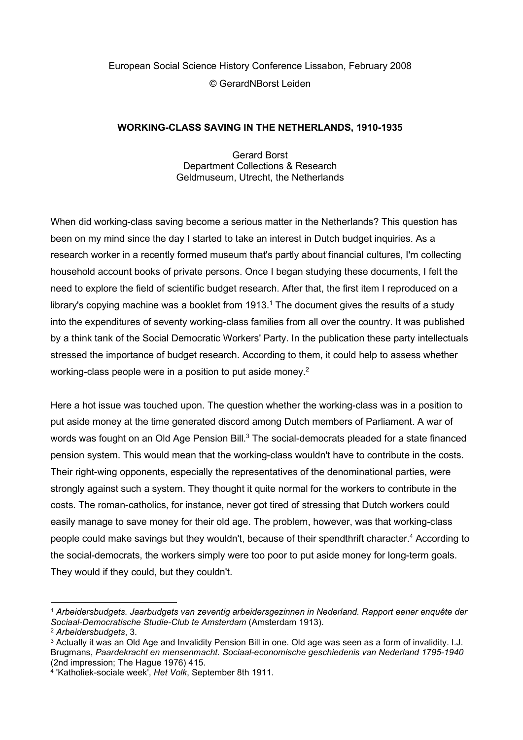# European Social Science History Conference Lissabon, February 2008 © GerardNBorst Leiden

### WORKING-CLASS SAVING IN THE NETHERLANDS, 1910-1935

Gerard Borst Department Collections & Research Geldmuseum, Utrecht, the Netherlands

When did working-class saving become a serious matter in the Netherlands? This question has been on my mind since the day I started to take an interest in Dutch budget inquiries. As a research worker in a recently formed museum that's partly about financial cultures, I'm collecting household account books of private persons. Once I began studying these documents, I felt the need to explore the field of scientific budget research. After that, the first item I reproduced on a library's copying machine was a booklet from  $1913.^1$  The document gives the results of a study into the expenditures of seventy working-class families from all over the country. It was published by a think tank of the Social Democratic Workers' Party. In the publication these party intellectuals stressed the importance of budget research. According to them, it could help to assess whether working-class people were in a position to put aside money. $2$ 

Here a hot issue was touched upon. The question whether the working-class was in a position to put aside money at the time generated discord among Dutch members of Parliament. A war of words was fought on an Old Age Pension Bill.<sup>3</sup> The social-democrats pleaded for a state financed pension system. This would mean that the working-class wouldn't have to contribute in the costs. Their right-wing opponents, especially the representatives of the denominational parties, were strongly against such a system. They thought it quite normal for the workers to contribute in the costs. The roman-catholics, for instance, never got tired of stressing that Dutch workers could easily manage to save money for their old age. The problem, however, was that working-class people could make savings but they wouldn't, because of their spendthrift character.<sup>4</sup> According to the social-democrats, the workers simply were too poor to put aside money for long-term goals. They would if they could, but they couldn't.

<sup>1</sup> Arbeidersbudgets. Jaarbudgets van zeventig arbeidersgezinnen in Nederland. Rapport eener enquête der Sociaal-Democratische Studie-Club te Amsterdam (Amsterdam 1913).

<sup>2</sup> Arbeidersbudgets, 3.

 $^3$  Actually it was an Old Age and Invalidity Pension Bill in one. Old age was seen as a form of invalidity. I.J. Brugmans, Paardekracht en mensenmacht. Sociaal-economische geschiedenis van Nederland 1795-1940 (2nd impression; The Hague 1976) 415.

<sup>&</sup>lt;sup>4</sup> 'Katholiek-sociale week', Het Volk, September 8th 1911.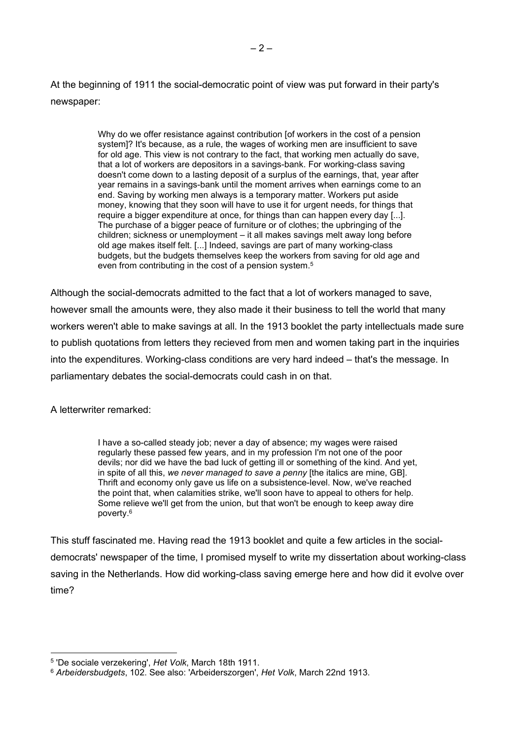At the beginning of 1911 the social-democratic point of view was put forward in their party's newspaper:

> Why do we offer resistance against contribution [of workers in the cost of a pension system]? It's because, as a rule, the wages of working men are insufficient to save for old age. This view is not contrary to the fact, that working men actually do save, that a lot of workers are depositors in a savings-bank. For working-class saving doesn't come down to a lasting deposit of a surplus of the earnings, that, year after year remains in a savings-bank until the moment arrives when earnings come to an end. Saving by working men always is a temporary matter. Workers put aside money, knowing that they soon will have to use it for urgent needs, for things that require a bigger expenditure at once, for things than can happen every day [...]. The purchase of a bigger peace of furniture or of clothes; the upbringing of the children; sickness or unemployment – it all makes savings melt away long before old age makes itself felt. [...] Indeed, savings are part of many working-class budgets, but the budgets themselves keep the workers from saving for old age and even from contributing in the cost of a pension system.<sup>5</sup>

Although the social-democrats admitted to the fact that a lot of workers managed to save, however small the amounts were, they also made it their business to tell the world that many workers weren't able to make savings at all. In the 1913 booklet the party intellectuals made sure to publish quotations from letters they recieved from men and women taking part in the inquiries into the expenditures. Working-class conditions are very hard indeed – that's the message. In parliamentary debates the social-democrats could cash in on that.

A letterwriter remarked:

I have a so-called steady job; never a day of absence; my wages were raised regularly these passed few years, and in my profession I'm not one of the poor devils; nor did we have the bad luck of getting ill or something of the kind. And yet, in spite of all this, we never managed to save a penny [the italics are mine, GB]. Thrift and economy only gave us life on a subsistence-level. Now, we've reached the point that, when calamities strike, we'll soon have to appeal to others for help. Some relieve we'll get from the union, but that won't be enough to keep away dire poverty.<sup>6</sup>

This stuff fascinated me. Having read the 1913 booklet and quite a few articles in the socialdemocrats' newspaper of the time, I promised myself to write my dissertation about working-class saving in the Netherlands. How did working-class saving emerge here and how did it evolve over time?

<sup>&</sup>lt;sup>5</sup> 'De sociale verzekering', Het Volk, March 18th 1911.

<sup>&</sup>lt;sup>6</sup> Arbeidersbudgets, 102. See also: 'Arbeiderszorgen', Het Volk, March 22nd 1913.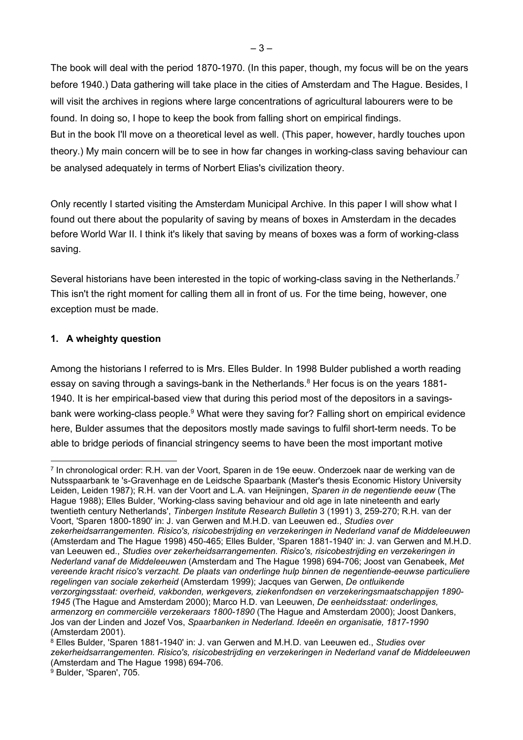The book will deal with the period 1870-1970. (In this paper, though, my focus will be on the years before 1940.) Data gathering will take place in the cities of Amsterdam and The Hague. Besides, I will visit the archives in regions where large concentrations of agricultural labourers were to be found. In doing so, I hope to keep the book from falling short on empirical findings.

But in the book I'll move on a theoretical level as well. (This paper, however, hardly touches upon theory.) My main concern will be to see in how far changes in working-class saving behaviour can be analysed adequately in terms of Norbert Elias's civilization theory.

Only recently I started visiting the Amsterdam Municipal Archive. In this paper I will show what I found out there about the popularity of saving by means of boxes in Amsterdam in the decades before World War II. I think it's likely that saving by means of boxes was a form of working-class saving.

Several historians have been interested in the topic of working-class saving in the Netherlands.<sup>7</sup> This isn't the right moment for calling them all in front of us. For the time being, however, one exception must be made.

## 1. A wheighty question

Among the historians I referred to is Mrs. Elles Bulder. In 1998 Bulder published a worth reading essay on saving through a savings-bank in the Netherlands.<sup>8</sup> Her focus is on the years 1881-1940. It is her empirical-based view that during this period most of the depositors in a savingsbank were working-class people.<sup>9</sup> What were they saving for? Falling short on empirical evidence here, Bulder assumes that the depositors mostly made savings to fulfil short-term needs. To be able to bridge periods of financial stringency seems to have been the most important motive

7 In chronological order: R.H. van der Voort, Sparen in de 19e eeuw. Onderzoek naar de werking van de Nutsspaarbank te 's-Gravenhage en de Leidsche Spaarbank (Master's thesis Economic History University Leiden, Leiden 1987); R.H. van der Voort and L.A. van Heijningen, Sparen in de negentiende eeuw (The Hague 1988); Elles Bulder, 'Working-class saving behaviour and old age in late nineteenth and early twentieth century Netherlands', Tinbergen Institute Research Bulletin 3 (1991) 3, 259-270; R.H. van der Voort, 'Sparen 1800-1890' in: J. van Gerwen and M.H.D. van Leeuwen ed., Studies over zekerheidsarrangementen. Risico's, risicobestrijding en verzekeringen in Nederland vanaf de Middeleeuwen (Amsterdam and The Hague 1998) 450-465; Elles Bulder, 'Sparen 1881-1940' in: J. van Gerwen and M.H.D. van Leeuwen ed., Studies over zekerheidsarrangementen. Risico's, risicobestrijding en verzekeringen in Nederland vanaf de Middeleeuwen (Amsterdam and The Hague 1998) 694-706; Joost van Genabeek, Met vereende kracht risico's verzacht. De plaats van onderlinge hulp binnen de negentiende-eeuwse particuliere regelingen van sociale zekerheid (Amsterdam 1999); Jacques van Gerwen, De ontluikende verzorgingsstaat: overheid, vakbonden, werkgevers, ziekenfondsen en verzekeringsmaatschappijen 1890- 1945 (The Hague and Amsterdam 2000); Marco H.D. van Leeuwen, De eenheidsstaat: onderlinges, armenzorg en commerciële verzekeraars 1800-1890 (The Hague and Amsterdam 2000); Joost Dankers, Jos van der Linden and Jozef Vos, Spaarbanken in Nederland. Ideeën en organisatie, 1817-1990 (Amsterdam 2001).

9 Bulder, 'Sparen', 705.

 $^8$  Elles Bulder, 'Sparen 1881-1940' in: J. van Gerwen and M.H.D. van Leeuwen ed., *Studies over* zekerheidsarrangementen. Risico's, risicobestrijding en verzekeringen in Nederland vanaf de Middeleeuwen (Amsterdam and The Hague 1998) 694-706.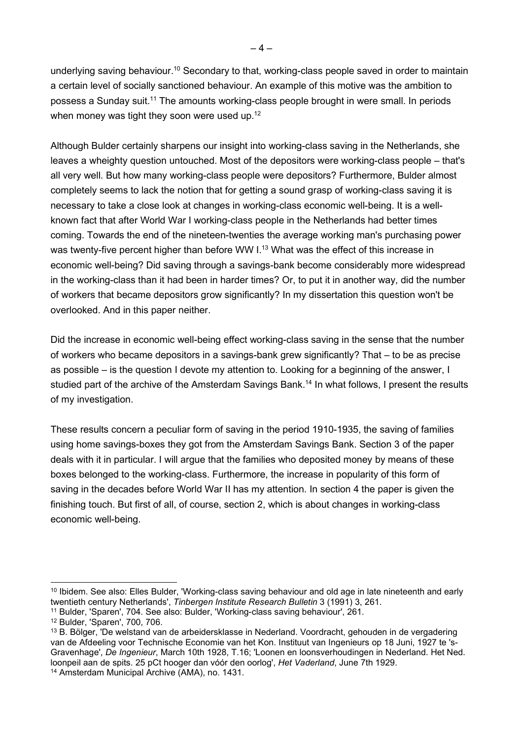underlying saving behaviour.<sup>10</sup> Secondary to that, working-class people saved in order to maintain a certain level of socially sanctioned behaviour. An example of this motive was the ambition to possess a Sunday suit.<sup>11</sup> The amounts working-class people brought in were small. In periods when money was tight they soon were used up.<sup>12</sup>

Although Bulder certainly sharpens our insight into working-class saving in the Netherlands, she leaves a wheighty question untouched. Most of the depositors were working-class people – that's all very well. But how many working-class people were depositors? Furthermore, Bulder almost completely seems to lack the notion that for getting a sound grasp of working-class saving it is necessary to take a close look at changes in working-class economic well-being. It is a wellknown fact that after World War I working-class people in the Netherlands had better times coming. Towards the end of the nineteen-twenties the average working man's purchasing power was twenty-five percent higher than before WW I.<sup>13</sup> What was the effect of this increase in economic well-being? Did saving through a savings-bank become considerably more widespread in the working-class than it had been in harder times? Or, to put it in another way, did the number of workers that became depositors grow significantly? In my dissertation this question won't be overlooked. And in this paper neither.

Did the increase in economic well-being effect working-class saving in the sense that the number of workers who became depositors in a savings-bank grew significantly? That – to be as precise as possible – is the question I devote my attention to. Looking for a beginning of the answer, I studied part of the archive of the Amsterdam Savings Bank.<sup>14</sup> In what follows, I present the results of my investigation.

These results concern a peculiar form of saving in the period 1910-1935, the saving of families using home savings-boxes they got from the Amsterdam Savings Bank. Section 3 of the paper deals with it in particular. I will argue that the families who deposited money by means of these boxes belonged to the working-class. Furthermore, the increase in popularity of this form of saving in the decades before World War II has my attention. In section 4 the paper is given the finishing touch. But first of all, of course, section 2, which is about changes in working-class economic well-being.

<sup>&</sup>lt;sup>10</sup> Ibidem. See also: Elles Bulder, 'Working-class saving behaviour and old age in late nineteenth and early twentieth century Netherlands', Tinbergen Institute Research Bulletin 3 (1991) 3, 261.

<sup>11</sup> Bulder, 'Sparen', 704. See also: Bulder, 'Working-class saving behaviour', 261.

<sup>12</sup> Bulder, 'Sparen', 700, 706.

<sup>13</sup> B. Bölger, 'De welstand van de arbeidersklasse in Nederland. Voordracht, gehouden in de vergadering van de Afdeeling voor Technische Economie van het Kon. Instituut van Ingenieurs op 18 Juni, 1927 te 's-Gravenhage', De Ingenieur, March 10th 1928, T.16; 'Loonen en loonsverhoudingen in Nederland. Het Ned. loonpeil aan de spits. 25 pCt hooger dan vóór den oorlog', Het Vaderland, June 7th 1929.

<sup>14</sup> Amsterdam Municipal Archive (AMA), no. 1431.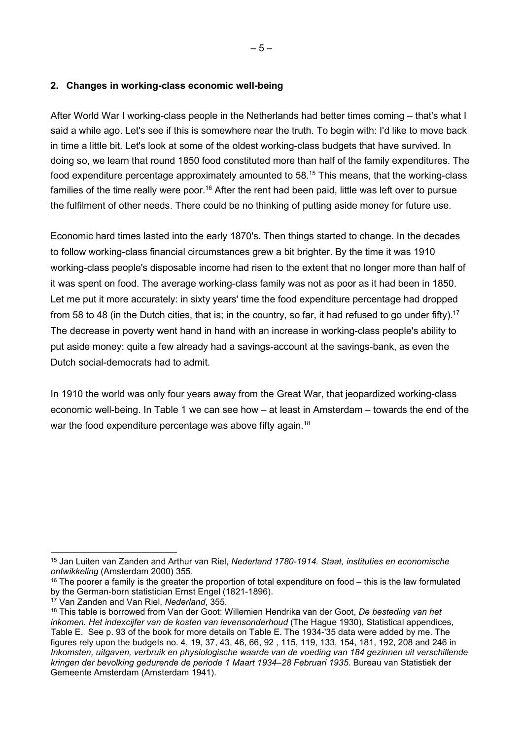### 2. Changes in working-class economic well-being

After World War I working-class people in the Netherlands had better times coming – that's what I said a while ago. Let's see if this is somewhere near the truth. To begin with: I'd like to move back in time a little bit. Let's look at some of the oldest working-class budgets that have survived. In doing so, we learn that round 1850 food constituted more than half of the family expenditures. The food expenditure percentage approximately amounted to  $58<sup>15</sup>$  This means, that the working-class families of the time really were poor.<sup>16</sup> After the rent had been paid, little was left over to pursue the fulfilment of other needs. There could be no thinking of putting aside money for future use.

Economic hard times lasted into the early 1870's. Then things started to change. In the decades to follow working-class financial circumstances grew a bit brighter. By the time it was 1910 working-class people's disposable income had risen to the extent that no longer more than half of it was spent on food. The average working-class family was not as poor as it had been in 1850. Let me put it more accurately: in sixty years' time the food expenditure percentage had dropped from 58 to 48 (in the Dutch cities, that is; in the country, so far, it had refused to go under fifty).<sup>17</sup> The decrease in poverty went hand in hand with an increase in working-class people's ability to put aside money: quite a few already had a savings-account at the savings-bank, as even the Dutch social-democrats had to admit.

In 1910 the world was only four years away from the Great War, that jeopardized working-class economic well-being. In Table 1 we can see how – at least in Amsterdam – towards the end of the war the food expenditure percentage was above fifty again.<sup>18</sup>

<sup>&</sup>lt;sup>15</sup> Jan Luiten van Zanden and Arthur van Riel, Nederland 1780-1914. Staat, instituties en economische ontwikkeling (Amsterdam 2000) 355.

 $16$  The poorer a family is the greater the proportion of total expenditure on food – this is the law formulated by the German-born statistician Ernst Engel (1821-1896).

<sup>&</sup>lt;sup>17</sup> Van Zanden and Van Riel, Nederland, 355.

<sup>&</sup>lt;sup>18</sup> This table is borrowed from Van der Goot: Willemien Hendrika van der Goot, De besteding van het inkomen. Het indexcijfer van de kosten van levensonderhoud (The Hague 1930), Statistical appendices, Table E. See p. 93 of the book for more details on Table E. The 1934-'35 data were added by me. The figures rely upon the budgets no. 4, 19, 37, 43, 46, 66, 92 , 115, 119, 133, 154, 181, 192, 208 and 246 in Inkomsten, uitgaven, verbruik en physiologische waarde van de voeding van 184 gezinnen uit verschillende kringen der bevolking gedurende de periode 1 Maart 1934–28 Februari 1935. Bureau van Statistiek der Gemeente Amsterdam (Amsterdam 1941).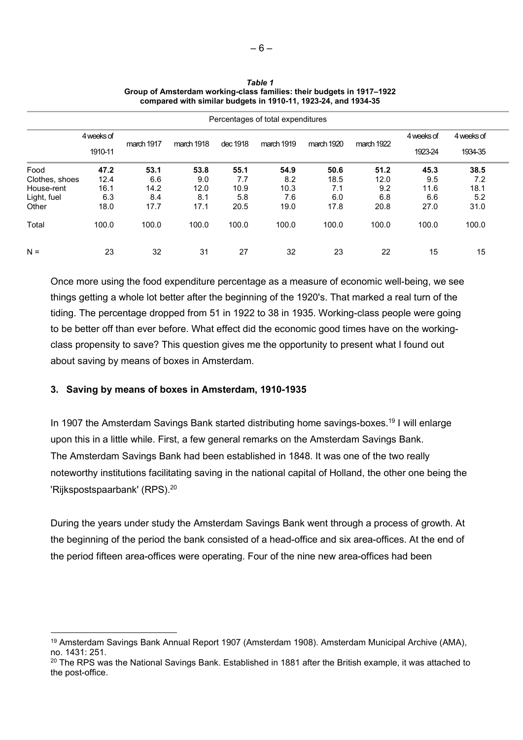| Percentages of total expenditures |            |            |            |          |            |            |            |                       |                       |  |
|-----------------------------------|------------|------------|------------|----------|------------|------------|------------|-----------------------|-----------------------|--|
|                                   | 4 weeks of | march 1917 | march 1918 | dec 1918 | march 1919 | march 1920 | march 1922 | 4 weeks of<br>1923-24 | 4 weeks of<br>1934-35 |  |
|                                   | 1910-11    |            |            |          |            |            |            |                       |                       |  |
| Food                              | 47.2       | 53.1       | 53.8       | 55.1     | 54.9       | 50.6       | 51.2       | 45.3                  | 38.5                  |  |
| Clothes, shoes                    | 12.4       | 6.6        | 9.0        | 7.7      | 8.2        | 18.5       | 12.0       | 9.5                   | 7.2                   |  |
| House-rent                        | 16.1       | 14.2       | 12.0       | 10.9     | 10.3       | 7.1        | 9.2        | 11.6                  | 18.1                  |  |
| Light, fuel                       | 6.3        | 8.4        | 8.1        | 5.8      | 7.6        | 6.0        | 6.8        | 6.6                   | 5.2                   |  |
| Other                             | 18.0       | 17.7       | 17.1       | 20.5     | 19.0       | 17.8       | 20.8       | 27.0                  | 31.0                  |  |
| Total                             | 100.0      | 100.0      | 100.0      | 100.0    | 100.0      | 100.0      | 100.0      | 100.0                 | 100.0                 |  |
| $N =$                             | 23         | 32         | 31         | 27       | 32         | 23         | 22         | 15                    | 15                    |  |

Table 1 Group of Amsterdam working-class families: their budgets in 1917–1922 compared with similar budgets in 1910-11, 1923-24, and 1934-35

Once more using the food expenditure percentage as a measure of economic well-being, we see things getting a whole lot better after the beginning of the 1920's. That marked a real turn of the tiding. The percentage dropped from 51 in 1922 to 38 in 1935. Working-class people were going to be better off than ever before. What effect did the economic good times have on the workingclass propensity to save? This question gives me the opportunity to present what I found out about saving by means of boxes in Amsterdam.

#### 3. Saving by means of boxes in Amsterdam, 1910-1935

In 1907 the Amsterdam Savings Bank started distributing home savings-boxes.<sup>19</sup> I will enlarge upon this in a little while. First, a few general remarks on the Amsterdam Savings Bank. The Amsterdam Savings Bank had been established in 1848. It was one of the two really noteworthy institutions facilitating saving in the national capital of Holland, the other one being the 'Rijkspostspaarbank' (RPS).<sup>20</sup>

During the years under study the Amsterdam Savings Bank went through a process of growth. At the beginning of the period the bank consisted of a head-office and six area-offices. At the end of the period fifteen area-offices were operating. Four of the nine new area-offices had been

<sup>19</sup> Amsterdam Savings Bank Annual Report 1907 (Amsterdam 1908). Amsterdam Municipal Archive (AMA), no. 1431: 251.

 $20$  The RPS was the National Savings Bank. Established in 1881 after the British example, it was attached to the post-office.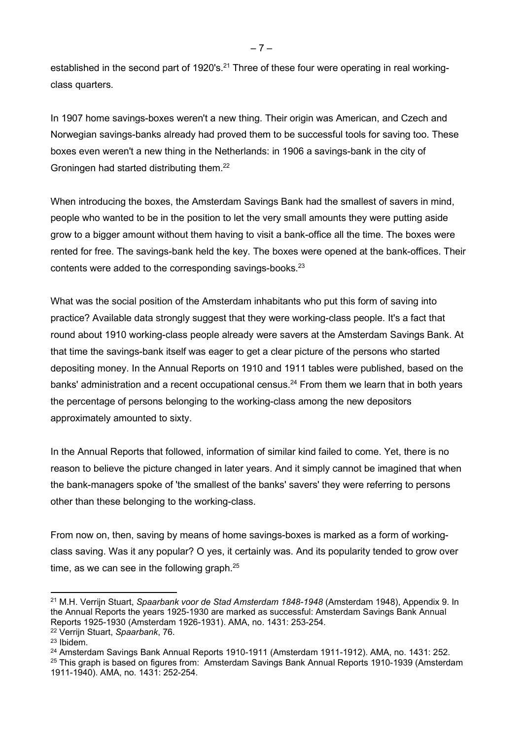established in the second part of 1920's.<sup>21</sup> Three of these four were operating in real workingclass quarters.

In 1907 home savings-boxes weren't a new thing. Their origin was American, and Czech and Norwegian savings-banks already had proved them to be successful tools for saving too. These boxes even weren't a new thing in the Netherlands: in 1906 a savings-bank in the city of Groningen had started distributing them.<sup>22</sup>

When introducing the boxes, the Amsterdam Savings Bank had the smallest of savers in mind, people who wanted to be in the position to let the very small amounts they were putting aside grow to a bigger amount without them having to visit a bank-office all the time. The boxes were rented for free. The savings-bank held the key. The boxes were opened at the bank-offices. Their contents were added to the corresponding savings-books. $23$ 

What was the social position of the Amsterdam inhabitants who put this form of saving into practice? Available data strongly suggest that they were working-class people. It's a fact that round about 1910 working-class people already were savers at the Amsterdam Savings Bank. At that time the savings-bank itself was eager to get a clear picture of the persons who started depositing money. In the Annual Reports on 1910 and 1911 tables were published, based on the banks' administration and a recent occupational census.<sup>24</sup> From them we learn that in both years the percentage of persons belonging to the working-class among the new depositors approximately amounted to sixty.

In the Annual Reports that followed, information of similar kind failed to come. Yet, there is no reason to believe the picture changed in later years. And it simply cannot be imagined that when the bank-managers spoke of 'the smallest of the banks' savers' they were referring to persons other than these belonging to the working-class.

From now on, then, saving by means of home savings-boxes is marked as a form of workingclass saving. Was it any popular? O yes, it certainly was. And its popularity tended to grow over time, as we can see in the following graph. $25$ 

– 7 –

<sup>&</sup>lt;sup>21</sup> M.H. Verrijn Stuart, Spaarbank voor de Stad Amsterdam 1848-1948 (Amsterdam 1948), Appendix 9. In the Annual Reports the years 1925-1930 are marked as successful: Amsterdam Savings Bank Annual Reports 1925-1930 (Amsterdam 1926-1931). AMA, no. 1431: 253-254.

<sup>22</sup> Verrijn Stuart, Spaarbank, 76.

<sup>23</sup> Ibidem.

<sup>&</sup>lt;sup>24</sup> Amsterdam Savings Bank Annual Reports 1910-1911 (Amsterdam 1911-1912). AMA, no. 1431: 252. <sup>25</sup> This graph is based on figures from: Amsterdam Savings Bank Annual Reports 1910-1939 (Amsterdam 1911-1940). AMA, no. 1431: 252-254.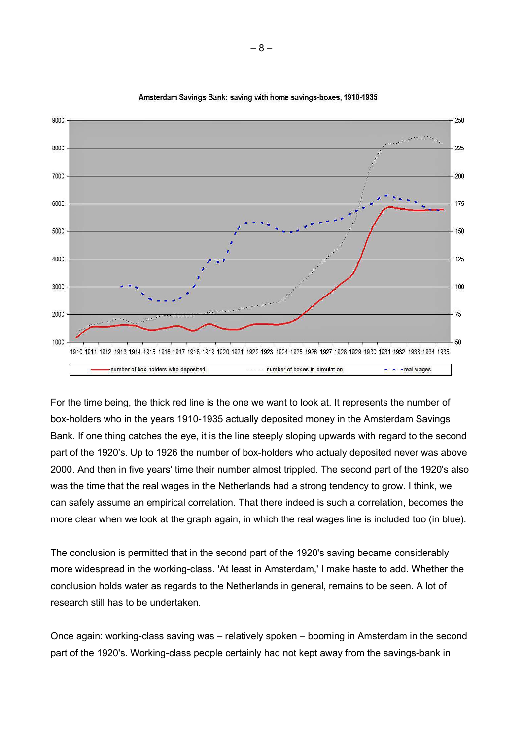

#### Amsterdam Savings Bank: saving with home savings-boxes, 1910-1935

For the time being, the thick red line is the one we want to look at. It represents the number of box-holders who in the years 1910-1935 actually deposited money in the Amsterdam Savings Bank. If one thing catches the eye, it is the line steeply sloping upwards with regard to the second part of the 1920's. Up to 1926 the number of box-holders who actualy deposited never was above 2000. And then in five years' time their number almost trippled. The second part of the 1920's also was the time that the real wages in the Netherlands had a strong tendency to grow. I think, we can safely assume an empirical correlation. That there indeed is such a correlation, becomes the more clear when we look at the graph again, in which the real wages line is included too (in blue).

The conclusion is permitted that in the second part of the 1920's saving became considerably more widespread in the working-class. 'At least in Amsterdam,' I make haste to add. Whether the conclusion holds water as regards to the Netherlands in general, remains to be seen. A lot of research still has to be undertaken.

Once again: working-class saving was – relatively spoken – booming in Amsterdam in the second part of the 1920's. Working-class people certainly had not kept away from the savings-bank in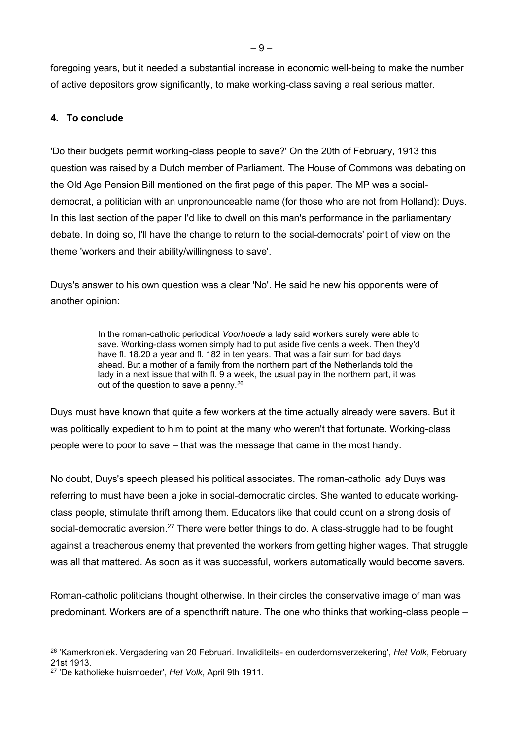foregoing years, but it needed a substantial increase in economic well-being to make the number of active depositors grow significantly, to make working-class saving a real serious matter.

## 4. To conclude

'Do their budgets permit working-class people to save?' On the 20th of February, 1913 this question was raised by a Dutch member of Parliament. The House of Commons was debating on the Old Age Pension Bill mentioned on the first page of this paper. The MP was a socialdemocrat, a politician with an unpronounceable name (for those who are not from Holland): Duys. In this last section of the paper I'd like to dwell on this man's performance in the parliamentary debate. In doing so, I'll have the change to return to the social-democrats' point of view on the theme 'workers and their ability/willingness to save'.

Duys's answer to his own question was a clear 'No'. He said he new his opponents were of another opinion:

> In the roman-catholic periodical Voorhoede a lady said workers surely were able to save. Working-class women simply had to put aside five cents a week. Then they'd have fl. 18.20 a year and fl. 182 in ten years. That was a fair sum for bad days ahead. But a mother of a family from the northern part of the Netherlands told the lady in a next issue that with fl. 9 a week, the usual pay in the northern part, it was out of the question to save a penny.<sup>26</sup>

Duys must have known that quite a few workers at the time actually already were savers. But it was politically expedient to him to point at the many who weren't that fortunate. Working-class people were to poor to save – that was the message that came in the most handy.

No doubt, Duys's speech pleased his political associates. The roman-catholic lady Duys was referring to must have been a joke in social-democratic circles. She wanted to educate workingclass people, stimulate thrift among them. Educators like that could count on a strong dosis of social-democratic aversion.<sup>27</sup> There were better things to do. A class-struggle had to be fought against a treacherous enemy that prevented the workers from getting higher wages. That struggle was all that mattered. As soon as it was successful, workers automatically would become savers.

Roman-catholic politicians thought otherwise. In their circles the conservative image of man was predominant. Workers are of a spendthrift nature. The one who thinks that working-class people –

<sup>&</sup>lt;sup>26</sup> 'Kamerkroniek. Vergadering van 20 Februari. Invaliditeits- en ouderdomsverzekering', Het Volk, February 21st 1913.

<sup>&</sup>lt;sup>27</sup> 'De katholieke huismoeder', Het Volk, April 9th 1911.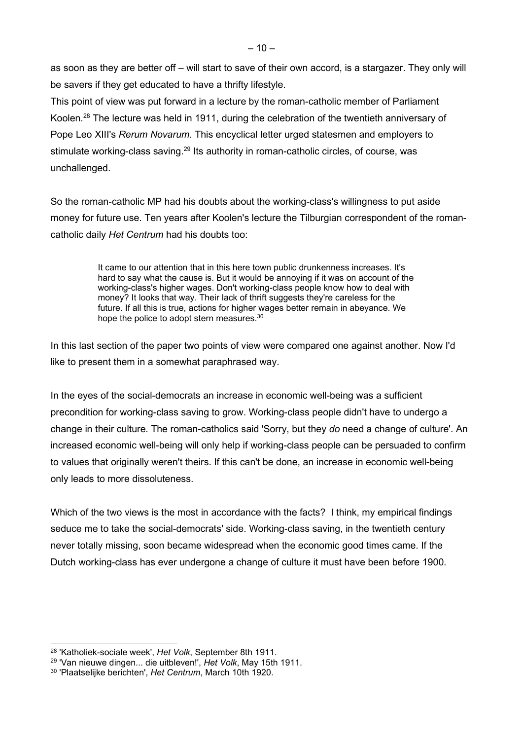as soon as they are better off – will start to save of their own accord, is a stargazer. They only will be savers if they get educated to have a thrifty lifestyle.

This point of view was put forward in a lecture by the roman-catholic member of Parliament Koolen.<sup>28</sup> The lecture was held in 1911, during the celebration of the twentieth anniversary of Pope Leo XIII's Rerum Novarum. This encyclical letter urged statesmen and employers to stimulate working-class saving.<sup>29</sup> Its authority in roman-catholic circles, of course, was unchallenged.

So the roman-catholic MP had his doubts about the working-class's willingness to put aside money for future use. Ten years after Koolen's lecture the Tilburgian correspondent of the romancatholic daily Het Centrum had his doubts too:

> It came to our attention that in this here town public drunkenness increases. It's hard to say what the cause is. But it would be annoying if it was on account of the working-class's higher wages. Don't working-class people know how to deal with money? It looks that way. Their lack of thrift suggests they're careless for the future. If all this is true, actions for higher wages better remain in abeyance. We hope the police to adopt stern measures.<sup>30</sup>

In this last section of the paper two points of view were compared one against another. Now I'd like to present them in a somewhat paraphrased way.

In the eyes of the social-democrats an increase in economic well-being was a sufficient precondition for working-class saving to grow. Working-class people didn't have to undergo a change in their culture. The roman-catholics said 'Sorry, but they do need a change of culture'. An increased economic well-being will only help if working-class people can be persuaded to confirm to values that originally weren't theirs. If this can't be done, an increase in economic well-being only leads to more dissoluteness.

Which of the two views is the most in accordance with the facts? I think, my empirical findings seduce me to take the social-democrats' side. Working-class saving, in the twentieth century never totally missing, soon became widespread when the economic good times came. If the Dutch working-class has ever undergone a change of culture it must have been before 1900.

<sup>&</sup>lt;sup>28</sup> 'Katholiek-sociale week', Het Volk, September 8th 1911.

<sup>&</sup>lt;sup>29</sup> 'Van nieuwe dingen... die uitbleven!', Het Volk, May 15th 1911.

<sup>&</sup>lt;sup>30</sup> 'Plaatselijke berichten', Het Centrum, March 10th 1920.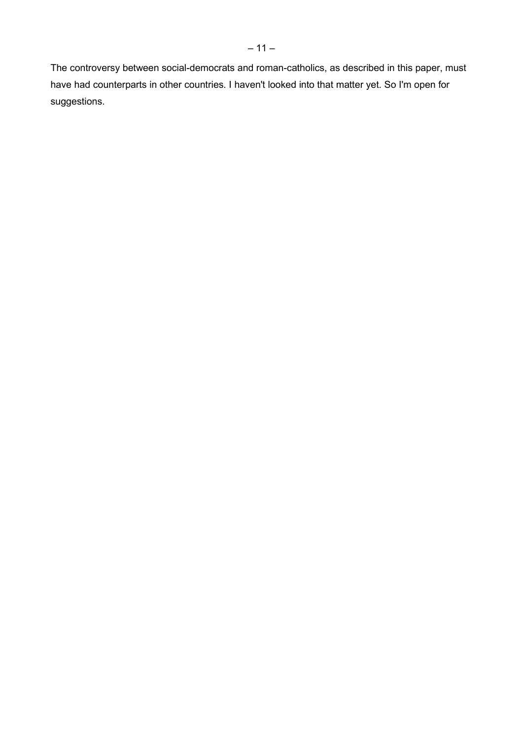The controversy between social-democrats and roman-catholics, as described in this paper, must have had counterparts in other countries. I haven't looked into that matter yet. So I'm open for suggestions.